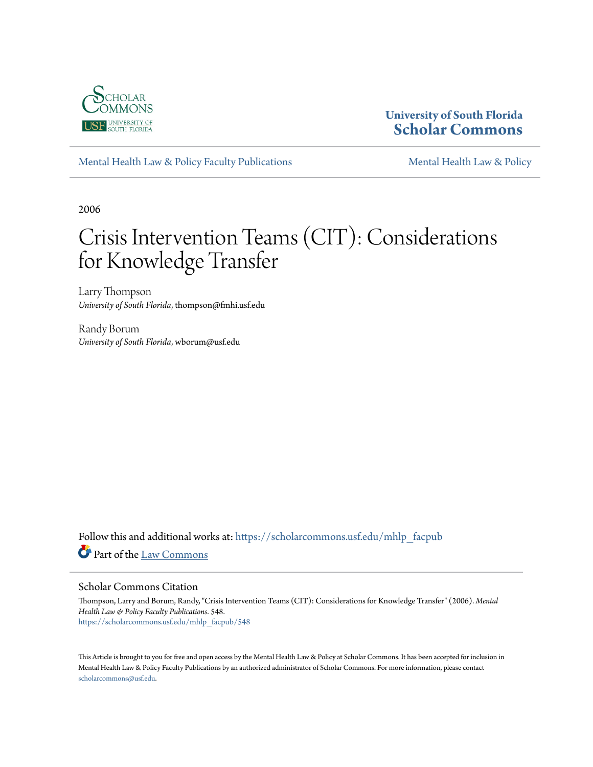

## **University of South Florida [Scholar Commons](https://scholarcommons.usf.edu?utm_source=scholarcommons.usf.edu%2Fmhlp_facpub%2F548&utm_medium=PDF&utm_campaign=PDFCoverPages)**

[Mental Health Law & Policy Faculty Publications](https://scholarcommons.usf.edu/mhlp_facpub?utm_source=scholarcommons.usf.edu%2Fmhlp_facpub%2F548&utm_medium=PDF&utm_campaign=PDFCoverPages) [Mental Health Law & Policy](https://scholarcommons.usf.edu/mhlp?utm_source=scholarcommons.usf.edu%2Fmhlp_facpub%2F548&utm_medium=PDF&utm_campaign=PDFCoverPages)

2006

# Crisis Intervention Teams (CIT): Considerations for Knowledge Transfer

Larry Thompson *University of South Florida*, thompson@fmhi.usf.edu

Randy Borum *University of South Florida*, wborum@usf.edu

Follow this and additional works at: [https://scholarcommons.usf.edu/mhlp\\_facpub](https://scholarcommons.usf.edu/mhlp_facpub?utm_source=scholarcommons.usf.edu%2Fmhlp_facpub%2F548&utm_medium=PDF&utm_campaign=PDFCoverPages) Part of the [Law Commons](http://network.bepress.com/hgg/discipline/578?utm_source=scholarcommons.usf.edu%2Fmhlp_facpub%2F548&utm_medium=PDF&utm_campaign=PDFCoverPages)

#### Scholar Commons Citation

Thompson, Larry and Borum, Randy, "Crisis Intervention Teams (CIT): Considerations for Knowledge Transfer" (2006). *Mental Health Law & Policy Faculty Publications*. 548. [https://scholarcommons.usf.edu/mhlp\\_facpub/548](https://scholarcommons.usf.edu/mhlp_facpub/548?utm_source=scholarcommons.usf.edu%2Fmhlp_facpub%2F548&utm_medium=PDF&utm_campaign=PDFCoverPages)

This Article is brought to you for free and open access by the Mental Health Law & Policy at Scholar Commons. It has been accepted for inclusion in Mental Health Law & Policy Faculty Publications by an authorized administrator of Scholar Commons. For more information, please contact [scholarcommons@usf.edu](mailto:scholarcommons@usf.edu).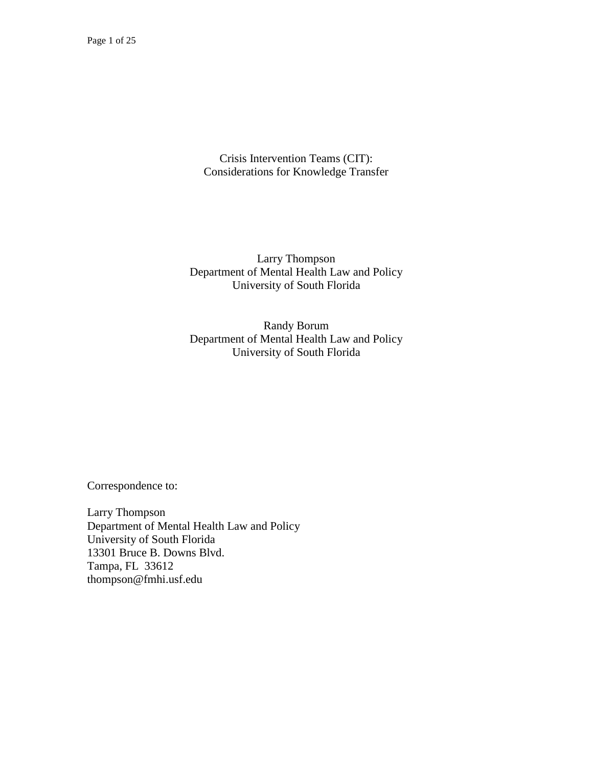Crisis Intervention Teams (CIT): Considerations for Knowledge Transfer

Larry Thompson Department of Mental Health Law and Policy University of South Florida

Randy Borum Department of Mental Health Law and Policy University of South Florida

Correspondence to:

Larry Thompson Department of Mental Health Law and Policy University of South Florida 13301 Bruce B. Downs Blvd. Tampa, FL 33612 thompson@fmhi.usf.edu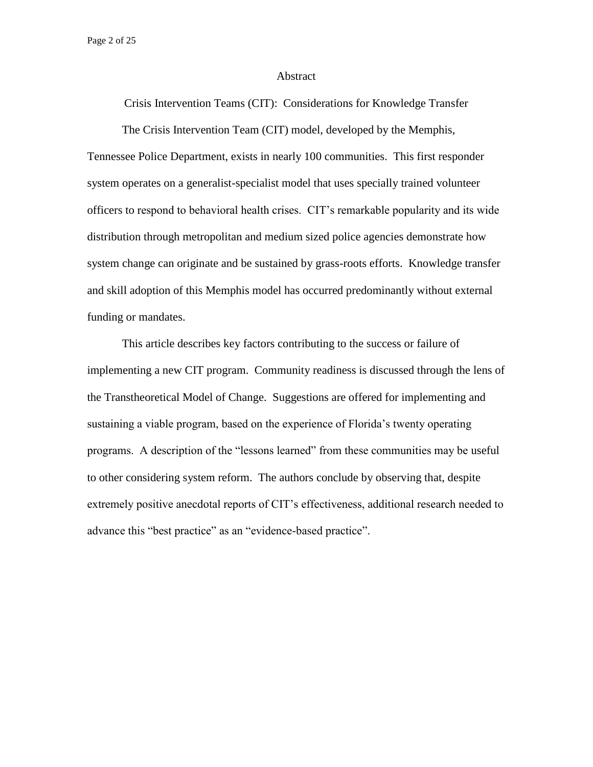Page 2 of 25

#### Abstract

Crisis Intervention Teams (CIT): Considerations for Knowledge Transfer

The Crisis Intervention Team (CIT) model, developed by the Memphis,

Tennessee Police Department, exists in nearly 100 communities. This first responder system operates on a generalist-specialist model that uses specially trained volunteer officers to respond to behavioral health crises. CIT's remarkable popularity and its wide distribution through metropolitan and medium sized police agencies demonstrate how system change can originate and be sustained by grass-roots efforts. Knowledge transfer and skill adoption of this Memphis model has occurred predominantly without external funding or mandates.

This article describes key factors contributing to the success or failure of implementing a new CIT program. Community readiness is discussed through the lens of the Transtheoretical Model of Change. Suggestions are offered for implementing and sustaining a viable program, based on the experience of Florida's twenty operating programs. A description of the "lessons learned" from these communities may be useful to other considering system reform. The authors conclude by observing that, despite extremely positive anecdotal reports of CIT's effectiveness, additional research needed to advance this "best practice" as an "evidence-based practice".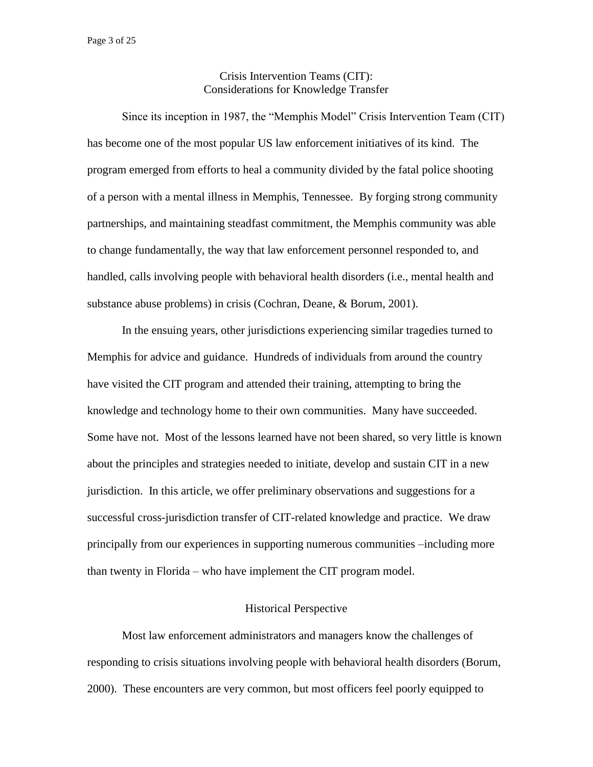## Crisis Intervention Teams (CIT): Considerations for Knowledge Transfer

Since its inception in 1987, the "Memphis Model" Crisis Intervention Team (CIT) has become one of the most popular US law enforcement initiatives of its kind. The program emerged from efforts to heal a community divided by the fatal police shooting of a person with a mental illness in Memphis, Tennessee. By forging strong community partnerships, and maintaining steadfast commitment, the Memphis community was able to change fundamentally, the way that law enforcement personnel responded to, and handled, calls involving people with behavioral health disorders (i.e., mental health and substance abuse problems) in crisis (Cochran, Deane, & Borum, 2001).

In the ensuing years, other jurisdictions experiencing similar tragedies turned to Memphis for advice and guidance. Hundreds of individuals from around the country have visited the CIT program and attended their training, attempting to bring the knowledge and technology home to their own communities. Many have succeeded. Some have not. Most of the lessons learned have not been shared, so very little is known about the principles and strategies needed to initiate, develop and sustain CIT in a new jurisdiction. In this article, we offer preliminary observations and suggestions for a successful cross-jurisdiction transfer of CIT-related knowledge and practice. We draw principally from our experiences in supporting numerous communities –including more than twenty in Florida – who have implement the CIT program model.

## Historical Perspective

Most law enforcement administrators and managers know the challenges of responding to crisis situations involving people with behavioral health disorders (Borum, 2000). These encounters are very common, but most officers feel poorly equipped to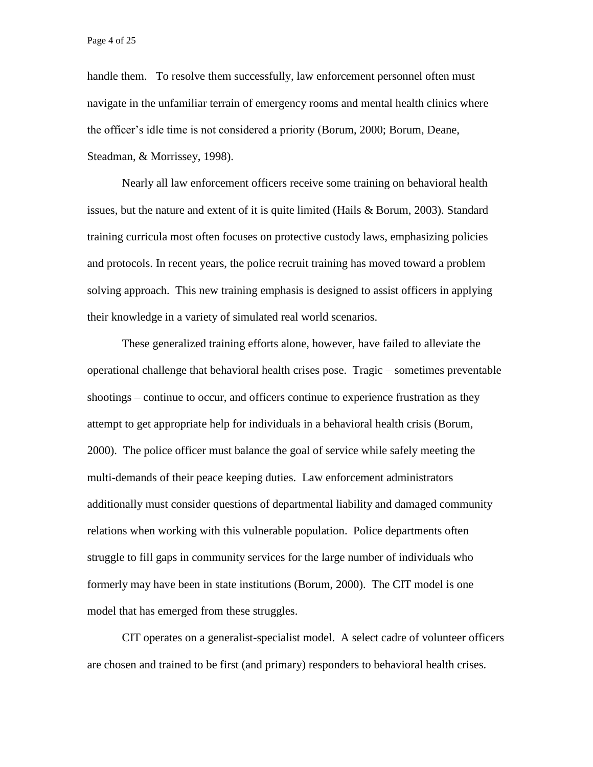handle them. To resolve them successfully, law enforcement personnel often must navigate in the unfamiliar terrain of emergency rooms and mental health clinics where the officer's idle time is not considered a priority (Borum, 2000; Borum, Deane, Steadman, & Morrissey, 1998).

Nearly all law enforcement officers receive some training on behavioral health issues, but the nature and extent of it is quite limited (Hails & Borum, 2003). Standard training curricula most often focuses on protective custody laws, emphasizing policies and protocols. In recent years, the police recruit training has moved toward a problem solving approach. This new training emphasis is designed to assist officers in applying their knowledge in a variety of simulated real world scenarios.

These generalized training efforts alone, however, have failed to alleviate the operational challenge that behavioral health crises pose. Tragic – sometimes preventable shootings – continue to occur, and officers continue to experience frustration as they attempt to get appropriate help for individuals in a behavioral health crisis (Borum, 2000). The police officer must balance the goal of service while safely meeting the multi-demands of their peace keeping duties. Law enforcement administrators additionally must consider questions of departmental liability and damaged community relations when working with this vulnerable population. Police departments often struggle to fill gaps in community services for the large number of individuals who formerly may have been in state institutions (Borum, 2000). The CIT model is one model that has emerged from these struggles.

CIT operates on a generalist-specialist model. A select cadre of volunteer officers are chosen and trained to be first (and primary) responders to behavioral health crises.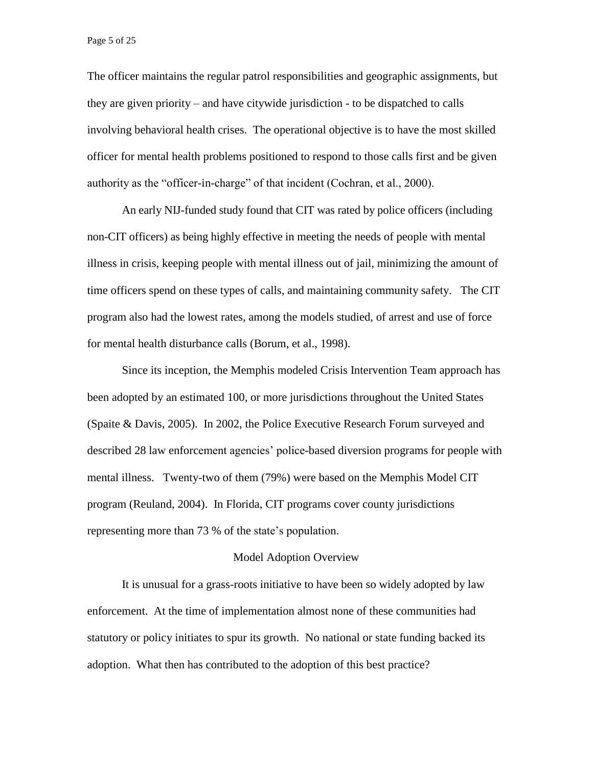The officer maintains the regular patrol responsibilities and geographic assignments, but they are given priority – and have citywide jurisdiction - to be dispatched to calls involving behavioral health crises. The operational objective is to have the most skilled officer for mental health problems positioned to respond to those calls first and be given authority as the "officer-in-charge" of that incident (Cochran, et al., 2000).

An early NIJ-funded study found that CIT was rated by police officers (including non-CIT officers) as being highly effective in meeting the needs of people with mental illness in crisis, keeping people with mental illness out of jail, minimizing the amount of time officers spend on these types of calls, and maintaining community safety. The CIT program also had the lowest rates, among the models studied, of arrest and use of force for mental health disturbance calls (Borum, et al., 1998).

Since its inception, the Memphis modeled Crisis Intervention Team approach has been adopted by an estimated 100, or more jurisdictions throughout the United States (Spaite & Davis, 2005). In 2002, the Police Executive Research Forum surveyed and described 28 law enforcement agencies' police-based diversion programs for people with mental illness. Twenty-two of them (79%) were based on the Memphis Model CIT program (Reuland, 2004). In Florida, CIT programs cover county jurisdictions representing more than 73 % of the state's population.

#### Model Adoption Overview

It is unusual for a grass-roots initiative to have been so widely adopted by law enforcement. At the time of implementation almost none of these communities had statutory or policy initiates to spur its growth. No national or state funding backed its adoption. What then has contributed to the adoption of this best practice?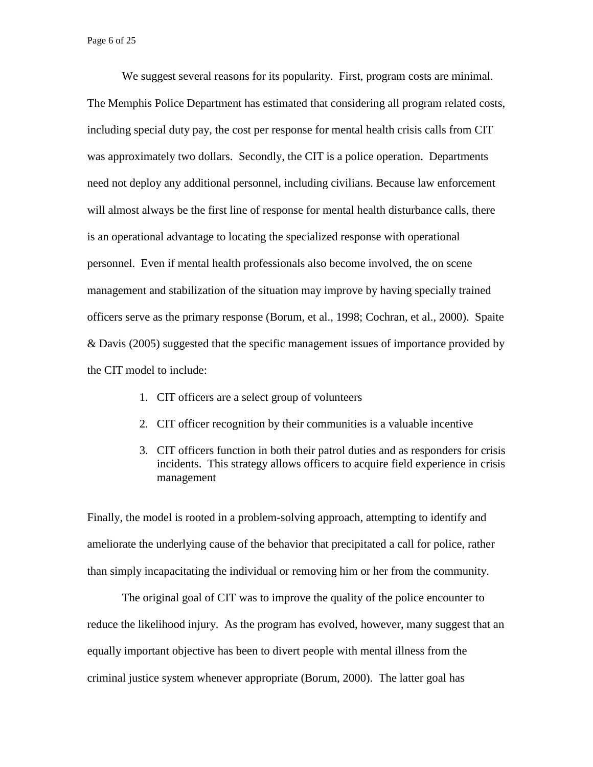Page 6 of 25

We suggest several reasons for its popularity. First, program costs are minimal. The Memphis Police Department has estimated that considering all program related costs, including special duty pay, the cost per response for mental health crisis calls from CIT was approximately two dollars. Secondly, the CIT is a police operation. Departments need not deploy any additional personnel, including civilians. Because law enforcement will almost always be the first line of response for mental health disturbance calls, there is an operational advantage to locating the specialized response with operational personnel. Even if mental health professionals also become involved, the on scene management and stabilization of the situation may improve by having specially trained officers serve as the primary response (Borum, et al., 1998; Cochran, et al., 2000). Spaite & Davis (2005) suggested that the specific management issues of importance provided by the CIT model to include:

- 1. CIT officers are a select group of volunteers
- 2. CIT officer recognition by their communities is a valuable incentive
- 3. CIT officers function in both their patrol duties and as responders for crisis incidents. This strategy allows officers to acquire field experience in crisis management

Finally, the model is rooted in a problem-solving approach, attempting to identify and ameliorate the underlying cause of the behavior that precipitated a call for police, rather than simply incapacitating the individual or removing him or her from the community.

The original goal of CIT was to improve the quality of the police encounter to reduce the likelihood injury. As the program has evolved, however, many suggest that an equally important objective has been to divert people with mental illness from the criminal justice system whenever appropriate (Borum, 2000). The latter goal has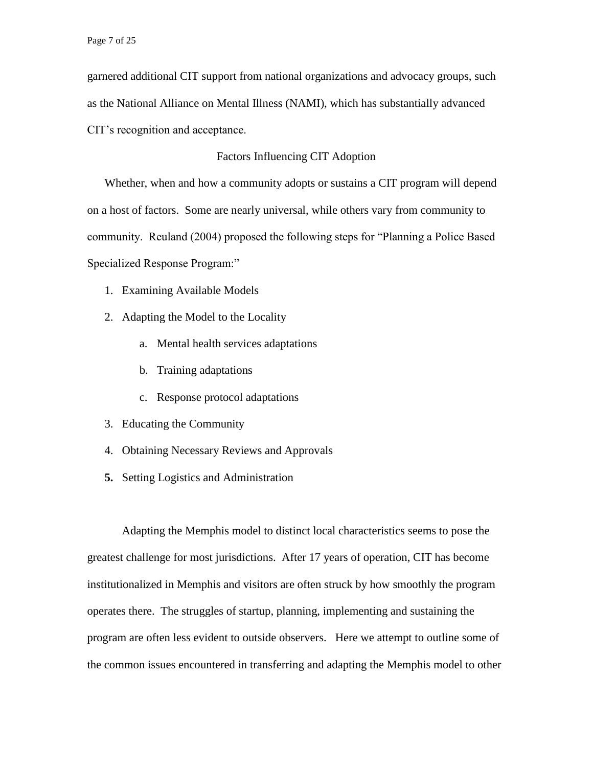garnered additional CIT support from national organizations and advocacy groups, such as the National Alliance on Mental Illness (NAMI), which has substantially advanced CIT's recognition and acceptance.

## Factors Influencing CIT Adoption

Whether, when and how a community adopts or sustains a CIT program will depend on a host of factors. Some are nearly universal, while others vary from community to community. Reuland (2004) proposed the following steps for "Planning a Police Based Specialized Response Program:"

- 1. Examining Available Models
- 2. Adapting the Model to the Locality
	- a. Mental health services adaptations
	- b. Training adaptations
	- c. Response protocol adaptations
- 3. Educating the Community
- 4. Obtaining Necessary Reviews and Approvals
- **5.** Setting Logistics and Administration

Adapting the Memphis model to distinct local characteristics seems to pose the greatest challenge for most jurisdictions. After 17 years of operation, CIT has become institutionalized in Memphis and visitors are often struck by how smoothly the program operates there. The struggles of startup, planning, implementing and sustaining the program are often less evident to outside observers. Here we attempt to outline some of the common issues encountered in transferring and adapting the Memphis model to other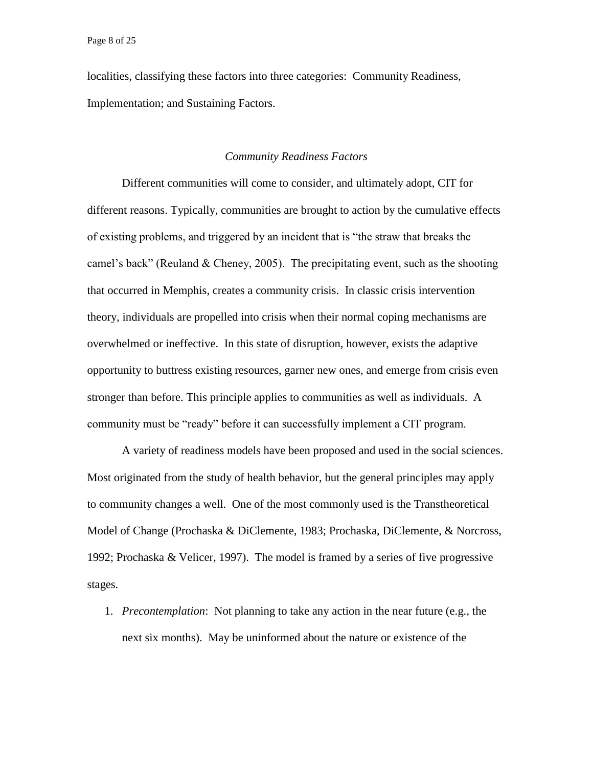localities, classifying these factors into three categories: Community Readiness, Implementation; and Sustaining Factors.

## *Community Readiness Factors*

Different communities will come to consider, and ultimately adopt, CIT for different reasons. Typically, communities are brought to action by the cumulative effects of existing problems, and triggered by an incident that is "the straw that breaks the camel's back" (Reuland & Cheney, 2005). The precipitating event, such as the shooting that occurred in Memphis, creates a community crisis. In classic crisis intervention theory, individuals are propelled into crisis when their normal coping mechanisms are overwhelmed or ineffective. In this state of disruption, however, exists the adaptive opportunity to buttress existing resources, garner new ones, and emerge from crisis even stronger than before. This principle applies to communities as well as individuals. A community must be "ready" before it can successfully implement a CIT program.

A variety of readiness models have been proposed and used in the social sciences. Most originated from the study of health behavior, but the general principles may apply to community changes a well. One of the most commonly used is the Transtheoretical Model of Change (Prochaska & DiClemente, 1983; Prochaska, DiClemente, & Norcross, 1992; Prochaska & Velicer, 1997). The model is framed by a series of five progressive stages.

1. *Precontemplation*: Not planning to take any action in the near future (e.g., the next six months). May be uninformed about the nature or existence of the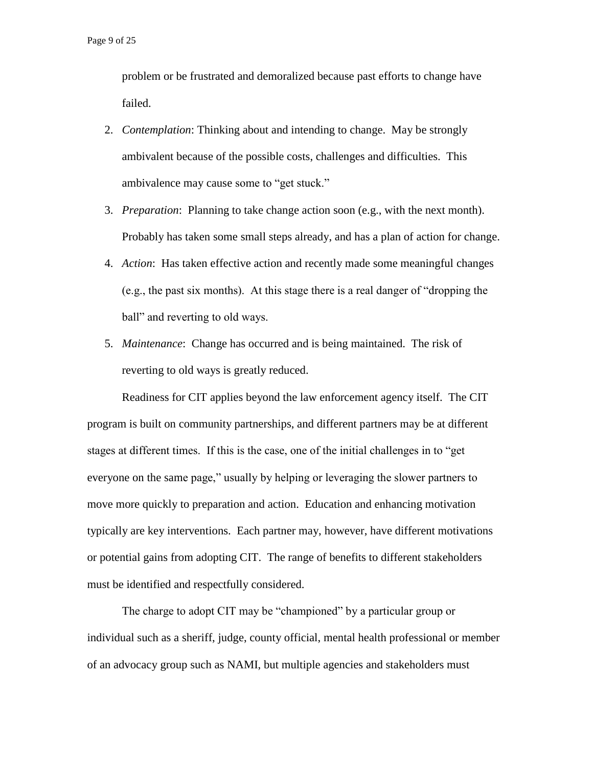problem or be frustrated and demoralized because past efforts to change have failed.

- 2. *Contemplation*: Thinking about and intending to change. May be strongly ambivalent because of the possible costs, challenges and difficulties. This ambivalence may cause some to "get stuck."
- 3. *Preparation*: Planning to take change action soon (e.g., with the next month). Probably has taken some small steps already, and has a plan of action for change.
- 4. *Action*: Has taken effective action and recently made some meaningful changes (e.g., the past six months). At this stage there is a real danger of "dropping the ball" and reverting to old ways.
- 5. *Maintenance*: Change has occurred and is being maintained. The risk of reverting to old ways is greatly reduced.

Readiness for CIT applies beyond the law enforcement agency itself. The CIT program is built on community partnerships, and different partners may be at different stages at different times. If this is the case, one of the initial challenges in to "get everyone on the same page," usually by helping or leveraging the slower partners to move more quickly to preparation and action. Education and enhancing motivation typically are key interventions. Each partner may, however, have different motivations or potential gains from adopting CIT. The range of benefits to different stakeholders must be identified and respectfully considered.

The charge to adopt CIT may be "championed" by a particular group or individual such as a sheriff, judge, county official, mental health professional or member of an advocacy group such as NAMI, but multiple agencies and stakeholders must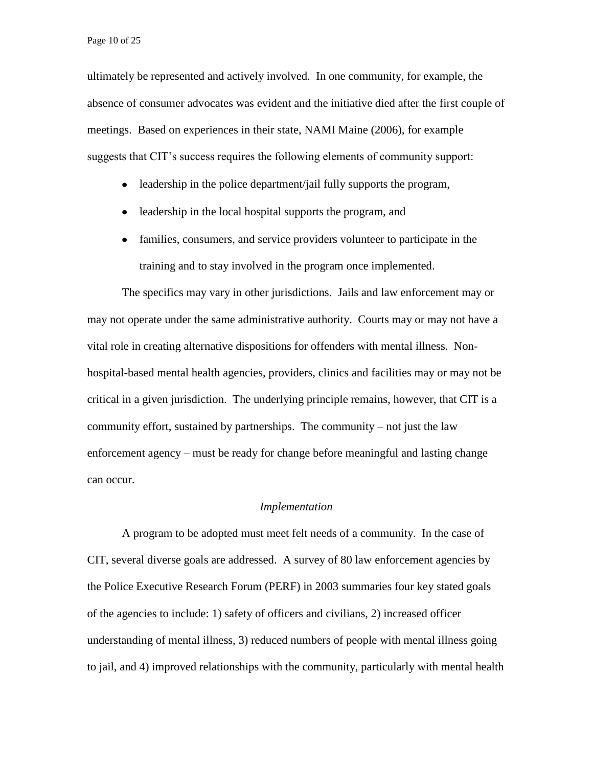Page 10 of 25

ultimately be represented and actively involved. In one community, for example, the absence of consumer advocates was evident and the initiative died after the first couple of meetings. Based on experiences in their state, NAMI Maine (2006), for example suggests that CIT's success requires the following elements of community support:

- leadership in the police department/jail fully supports the program,
- leadership in the local hospital supports the program, and  $\bullet$
- $\bullet$ families, consumers, and service providers volunteer to participate in the training and to stay involved in the program once implemented.

The specifics may vary in other jurisdictions. Jails and law enforcement may or may not operate under the same administrative authority. Courts may or may not have a vital role in creating alternative dispositions for offenders with mental illness. Nonhospital-based mental health agencies, providers, clinics and facilities may or may not be critical in a given jurisdiction. The underlying principle remains, however, that CIT is a community effort, sustained by partnerships. The community – not just the law enforcement agency – must be ready for change before meaningful and lasting change can occur.

## *Implementation*

A program to be adopted must meet felt needs of a community. In the case of CIT, several diverse goals are addressed.A survey of 80 law enforcement agencies by the Police Executive Research Forum (PERF) in 2003 summaries four key stated goals of the agencies to include: 1) safety of officers and civilians, 2) increased officer understanding of mental illness, 3) reduced numbers of people with mental illness going to jail, and 4) improved relationships with the community, particularly with mental health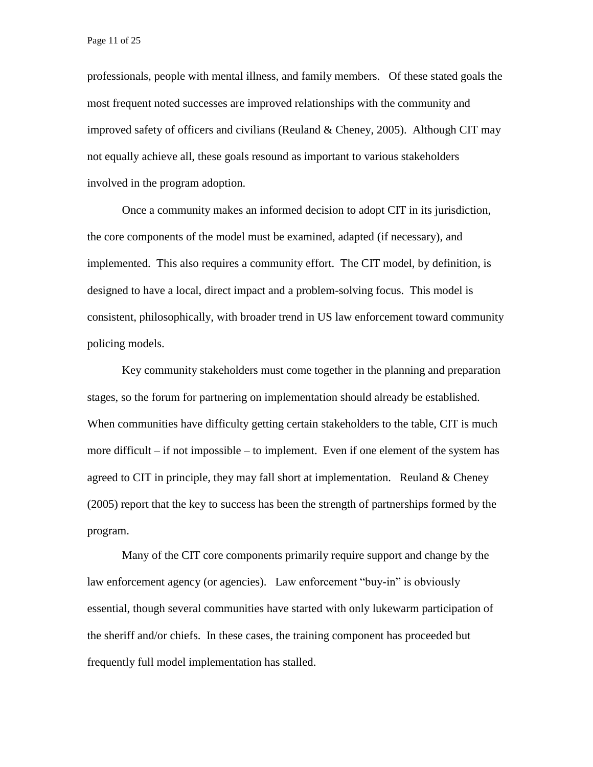Page 11 of 25

professionals, people with mental illness, and family members. Of these stated goals the most frequent noted successes are improved relationships with the community and improved safety of officers and civilians (Reuland  $&$  Cheney, 2005). Although CIT may not equally achieve all, these goals resound as important to various stakeholders involved in the program adoption.

Once a community makes an informed decision to adopt CIT in its jurisdiction, the core components of the model must be examined, adapted (if necessary), and implemented. This also requires a community effort. The CIT model, by definition, is designed to have a local, direct impact and a problem-solving focus. This model is consistent, philosophically, with broader trend in US law enforcement toward community policing models.

Key community stakeholders must come together in the planning and preparation stages, so the forum for partnering on implementation should already be established. When communities have difficulty getting certain stakeholders to the table, CIT is much more difficult – if not impossible – to implement. Even if one element of the system has agreed to CIT in principle, they may fall short at implementation. Reuland  $&$  Cheney (2005) report that the key to success has been the strength of partnerships formed by the program.

Many of the CIT core components primarily require support and change by the law enforcement agency (or agencies). Law enforcement "buy-in" is obviously essential, though several communities have started with only lukewarm participation of the sheriff and/or chiefs. In these cases, the training component has proceeded but frequently full model implementation has stalled.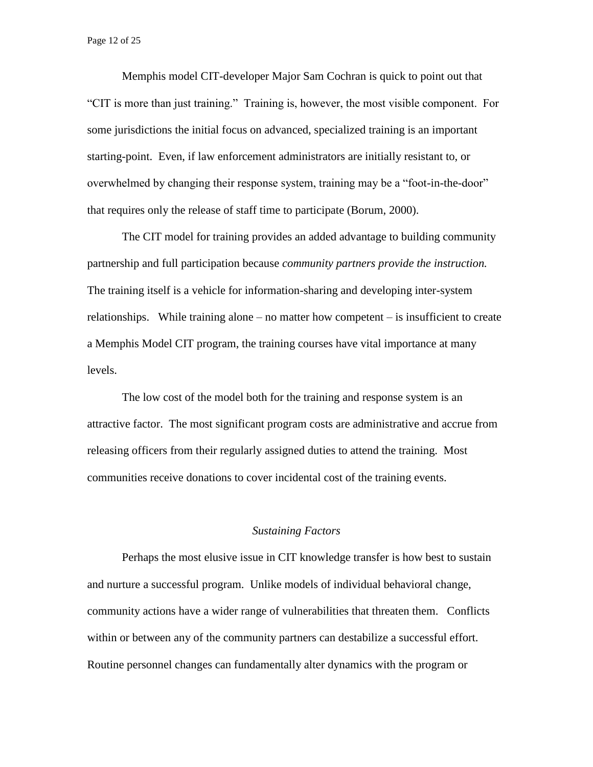Memphis model CIT-developer Major Sam Cochran is quick to point out that "CIT is more than just training." Training is, however, the most visible component. For some jurisdictions the initial focus on advanced, specialized training is an important starting-point. Even, if law enforcement administrators are initially resistant to, or overwhelmed by changing their response system, training may be a "foot-in-the-door" that requires only the release of staff time to participate (Borum, 2000).

The CIT model for training provides an added advantage to building community partnership and full participation because *community partners provide the instruction.*  The training itself is a vehicle for information-sharing and developing inter-system relationships. While training alone – no matter how competent – is insufficient to create a Memphis Model CIT program, the training courses have vital importance at many levels.

The low cost of the model both for the training and response system is an attractive factor. The most significant program costs are administrative and accrue from releasing officers from their regularly assigned duties to attend the training. Most communities receive donations to cover incidental cost of the training events.

## *Sustaining Factors*

Perhaps the most elusive issue in CIT knowledge transfer is how best to sustain and nurture a successful program. Unlike models of individual behavioral change, community actions have a wider range of vulnerabilities that threaten them. Conflicts within or between any of the community partners can destabilize a successful effort. Routine personnel changes can fundamentally alter dynamics with the program or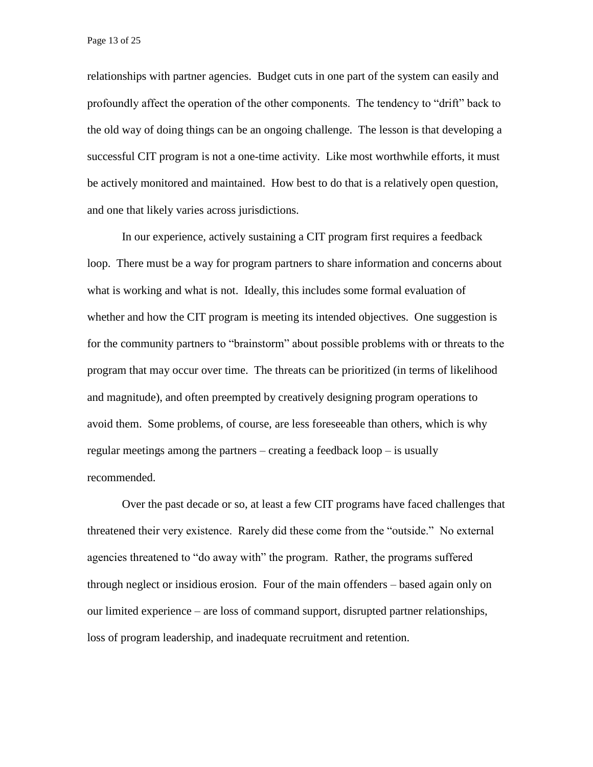relationships with partner agencies. Budget cuts in one part of the system can easily and profoundly affect the operation of the other components. The tendency to "drift" back to the old way of doing things can be an ongoing challenge. The lesson is that developing a successful CIT program is not a one-time activity. Like most worthwhile efforts, it must be actively monitored and maintained. How best to do that is a relatively open question, and one that likely varies across jurisdictions.

In our experience, actively sustaining a CIT program first requires a feedback loop. There must be a way for program partners to share information and concerns about what is working and what is not. Ideally, this includes some formal evaluation of whether and how the CIT program is meeting its intended objectives. One suggestion is for the community partners to "brainstorm" about possible problems with or threats to the program that may occur over time. The threats can be prioritized (in terms of likelihood and magnitude), and often preempted by creatively designing program operations to avoid them. Some problems, of course, are less foreseeable than others, which is why regular meetings among the partners – creating a feedback loop – is usually recommended.

Over the past decade or so, at least a few CIT programs have faced challenges that threatened their very existence. Rarely did these come from the "outside." No external agencies threatened to "do away with" the program. Rather, the programs suffered through neglect or insidious erosion. Four of the main offenders – based again only on our limited experience – are loss of command support, disrupted partner relationships, loss of program leadership, and inadequate recruitment and retention.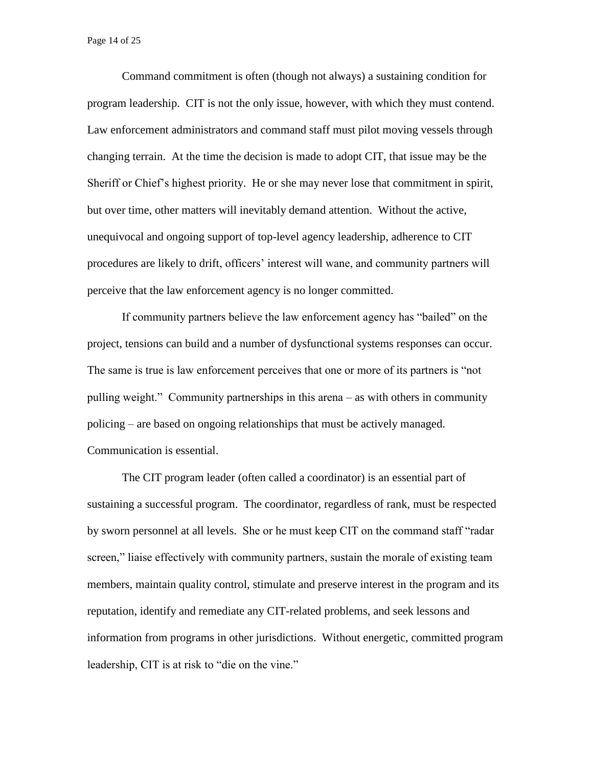Page 14 of 25

Command commitment is often (though not always) a sustaining condition for program leadership. CIT is not the only issue, however, with which they must contend. Law enforcement administrators and command staff must pilot moving vessels through changing terrain. At the time the decision is made to adopt CIT, that issue may be the Sheriff or Chief's highest priority. He or she may never lose that commitment in spirit, but over time, other matters will inevitably demand attention. Without the active, unequivocal and ongoing support of top-level agency leadership, adherence to CIT procedures are likely to drift, officers' interest will wane, and community partners will perceive that the law enforcement agency is no longer committed.

If community partners believe the law enforcement agency has "bailed" on the project, tensions can build and a number of dysfunctional systems responses can occur. The same is true is law enforcement perceives that one or more of its partners is "not pulling weight." Community partnerships in this arena – as with others in community policing – are based on ongoing relationships that must be actively managed. Communication is essential.

The CIT program leader (often called a coordinator) is an essential part of sustaining a successful program. The coordinator, regardless of rank, must be respected by sworn personnel at all levels. She or he must keep CIT on the command staff "radar screen," liaise effectively with community partners, sustain the morale of existing team members, maintain quality control, stimulate and preserve interest in the program and its reputation, identify and remediate any CIT-related problems, and seek lessons and information from programs in other jurisdictions. Without energetic, committed program leadership, CIT is at risk to "die on the vine."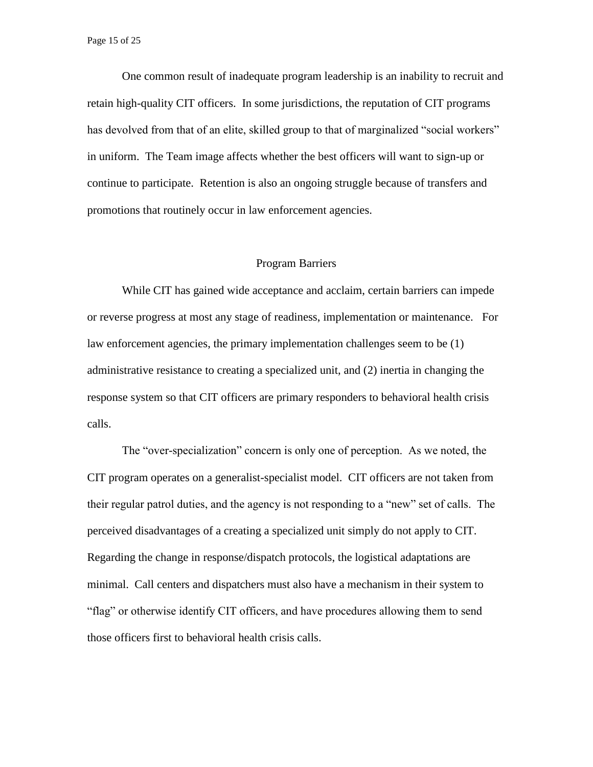One common result of inadequate program leadership is an inability to recruit and retain high-quality CIT officers. In some jurisdictions, the reputation of CIT programs has devolved from that of an elite, skilled group to that of marginalized "social workers" in uniform. The Team image affects whether the best officers will want to sign-up or continue to participate. Retention is also an ongoing struggle because of transfers and promotions that routinely occur in law enforcement agencies.

#### Program Barriers

While CIT has gained wide acceptance and acclaim, certain barriers can impede or reverse progress at most any stage of readiness, implementation or maintenance. For law enforcement agencies, the primary implementation challenges seem to be (1) administrative resistance to creating a specialized unit, and (2) inertia in changing the response system so that CIT officers are primary responders to behavioral health crisis calls.

The "over-specialization" concern is only one of perception. As we noted, the CIT program operates on a generalist-specialist model. CIT officers are not taken from their regular patrol duties, and the agency is not responding to a "new" set of calls. The perceived disadvantages of a creating a specialized unit simply do not apply to CIT. Regarding the change in response/dispatch protocols, the logistical adaptations are minimal. Call centers and dispatchers must also have a mechanism in their system to "flag" or otherwise identify CIT officers, and have procedures allowing them to send those officers first to behavioral health crisis calls.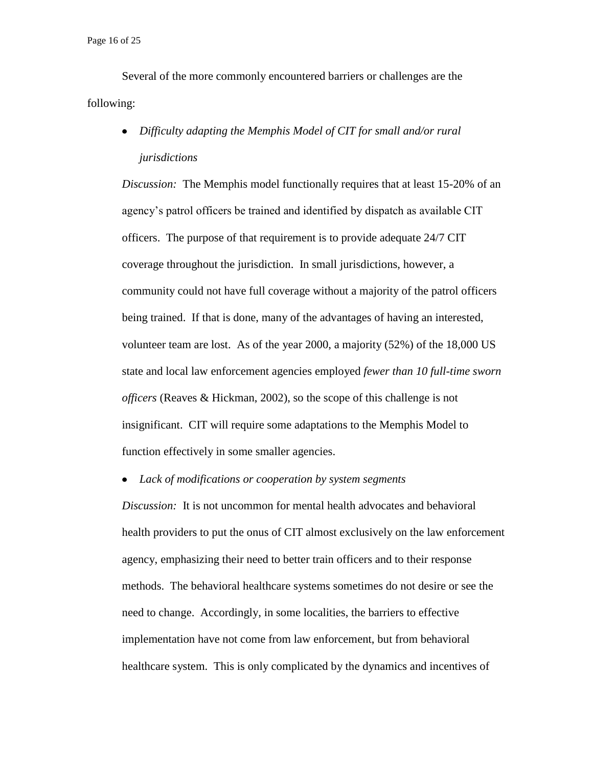Page 16 of 25

Several of the more commonly encountered barriers or challenges are the following:

*Difficulty adapting the Memphis Model of CIT for small and/or rural jurisdictions*

*Discussion:* The Memphis model functionally requires that at least 15-20% of an agency's patrol officers be trained and identified by dispatch as available CIT officers. The purpose of that requirement is to provide adequate 24/7 CIT coverage throughout the jurisdiction. In small jurisdictions, however, a community could not have full coverage without a majority of the patrol officers being trained. If that is done, many of the advantages of having an interested, volunteer team are lost. As of the year 2000, a majority (52%) of the 18,000 US state and local law enforcement agencies employed *fewer than 10 full-time sworn officers* (Reaves & Hickman, 2002), so the scope of this challenge is not insignificant. CIT will require some adaptations to the Memphis Model to function effectively in some smaller agencies.

*Lack of modifications or cooperation by system segments*

*Discussion:* It is not uncommon for mental health advocates and behavioral health providers to put the onus of CIT almost exclusively on the law enforcement agency, emphasizing their need to better train officers and to their response methods. The behavioral healthcare systems sometimes do not desire or see the need to change. Accordingly, in some localities, the barriers to effective implementation have not come from law enforcement, but from behavioral healthcare system. This is only complicated by the dynamics and incentives of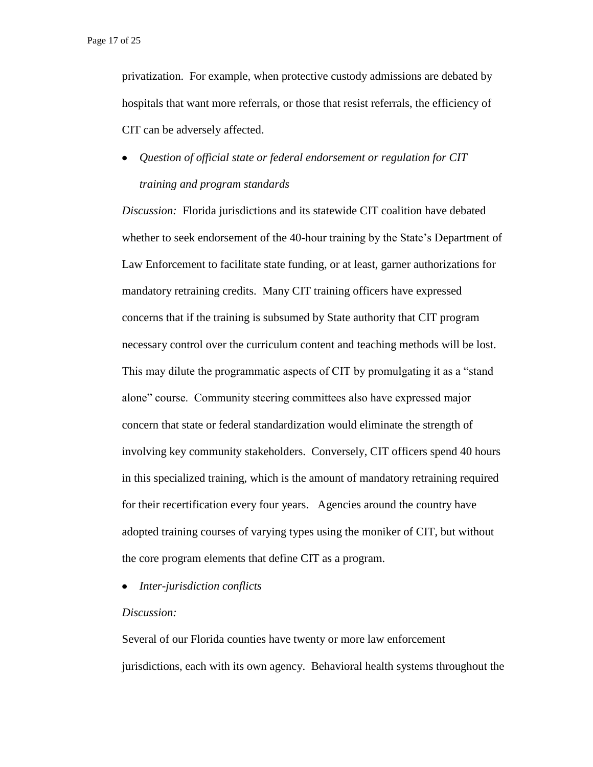privatization. For example, when protective custody admissions are debated by hospitals that want more referrals, or those that resist referrals, the efficiency of CIT can be adversely affected.

*Question of official state or federal endorsement or regulation for CIT training and program standards*

*Discussion:* Florida jurisdictions and its statewide CIT coalition have debated whether to seek endorsement of the 40-hour training by the State's Department of Law Enforcement to facilitate state funding, or at least, garner authorizations for mandatory retraining credits. Many CIT training officers have expressed concerns that if the training is subsumed by State authority that CIT program necessary control over the curriculum content and teaching methods will be lost. This may dilute the programmatic aspects of CIT by promulgating it as a "stand alone" course. Community steering committees also have expressed major concern that state or federal standardization would eliminate the strength of involving key community stakeholders. Conversely, CIT officers spend 40 hours in this specialized training, which is the amount of mandatory retraining required for their recertification every four years. Agencies around the country have adopted training courses of varying types using the moniker of CIT, but without the core program elements that define CIT as a program.

*Inter-jurisdiction conflicts*

## *Discussion:*

Several of our Florida counties have twenty or more law enforcement jurisdictions, each with its own agency. Behavioral health systems throughout the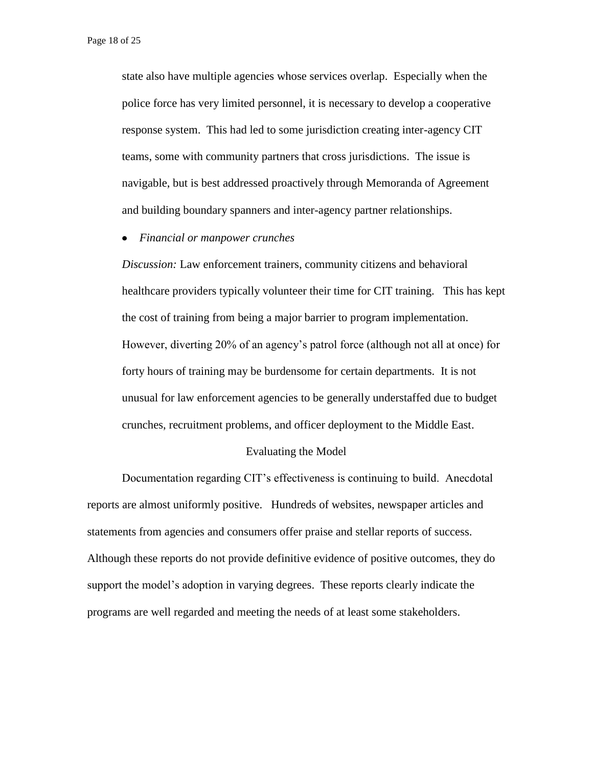state also have multiple agencies whose services overlap. Especially when the police force has very limited personnel, it is necessary to develop a cooperative response system. This had led to some jurisdiction creating inter-agency CIT teams, some with community partners that cross jurisdictions. The issue is navigable, but is best addressed proactively through Memoranda of Agreement and building boundary spanners and inter-agency partner relationships.

*Financial or manpower crunches*

*Discussion:* Law enforcement trainers, community citizens and behavioral healthcare providers typically volunteer their time for CIT training. This has kept the cost of training from being a major barrier to program implementation. However, diverting 20% of an agency's patrol force (although not all at once) for forty hours of training may be burdensome for certain departments. It is not unusual for law enforcement agencies to be generally understaffed due to budget crunches, recruitment problems, and officer deployment to the Middle East.

#### Evaluating the Model

Documentation regarding CIT's effectiveness is continuing to build. Anecdotal reports are almost uniformly positive. Hundreds of websites, newspaper articles and statements from agencies and consumers offer praise and stellar reports of success. Although these reports do not provide definitive evidence of positive outcomes, they do support the model's adoption in varying degrees. These reports clearly indicate the programs are well regarded and meeting the needs of at least some stakeholders.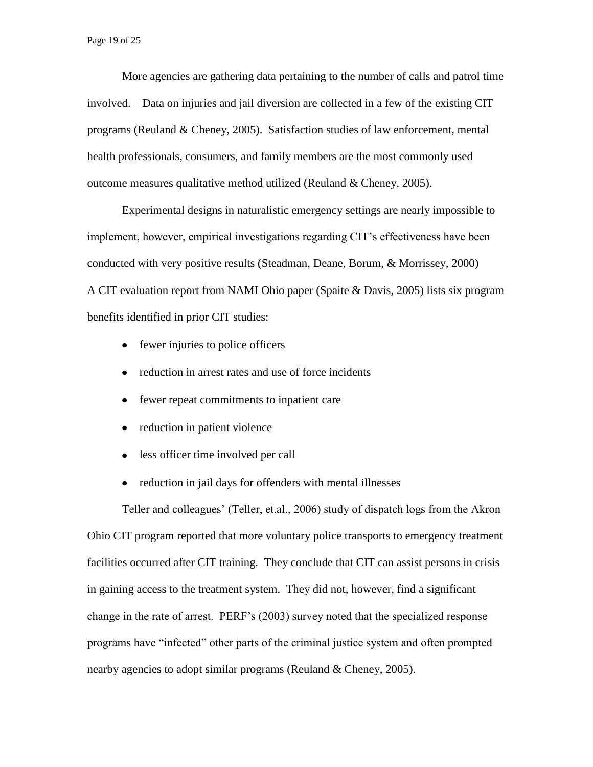More agencies are gathering data pertaining to the number of calls and patrol time involved. Data on injuries and jail diversion are collected in a few of the existing CIT programs (Reuland & Cheney, 2005). Satisfaction studies of law enforcement, mental health professionals, consumers, and family members are the most commonly used outcome measures qualitative method utilized (Reuland & Cheney, 2005).

Experimental designs in naturalistic emergency settings are nearly impossible to implement, however, empirical investigations regarding CIT's effectiveness have been conducted with very positive results (Steadman, Deane, Borum, & Morrissey, 2000) A CIT evaluation report from NAMI Ohio paper (Spaite & Davis, 2005) lists six program benefits identified in prior CIT studies:

- fewer injuries to police officers
- reduction in arrest rates and use of force incidents
- fewer repeat commitments to inpatient care
- reduction in patient violence  $\bullet$
- less officer time involved per call  $\bullet$
- reduction in jail days for offenders with mental illnesses  $\bullet$

Teller and colleagues' (Teller, et.al., 2006) study of dispatch logs from the Akron Ohio CIT program reported that more voluntary police transports to emergency treatment facilities occurred after CIT training. They conclude that CIT can assist persons in crisis in gaining access to the treatment system. They did not, however, find a significant change in the rate of arrest. PERF's (2003) survey noted that the specialized response programs have "infected" other parts of the criminal justice system and often prompted nearby agencies to adopt similar programs (Reuland & Cheney, 2005).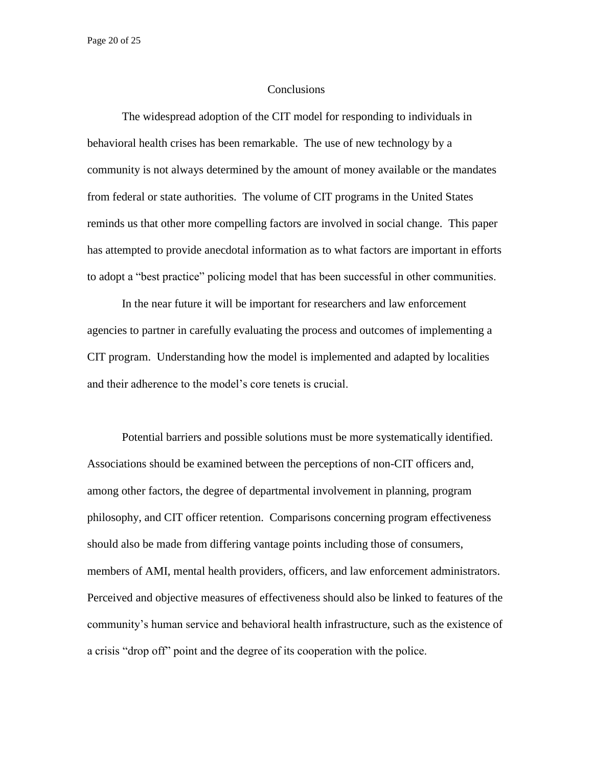Page 20 of 25

#### **Conclusions**

The widespread adoption of the CIT model for responding to individuals in behavioral health crises has been remarkable. The use of new technology by a community is not always determined by the amount of money available or the mandates from federal or state authorities. The volume of CIT programs in the United States reminds us that other more compelling factors are involved in social change. This paper has attempted to provide anecdotal information as to what factors are important in efforts to adopt a "best practice" policing model that has been successful in other communities.

In the near future it will be important for researchers and law enforcement agencies to partner in carefully evaluating the process and outcomes of implementing a CIT program. Understanding how the model is implemented and adapted by localities and their adherence to the model's core tenets is crucial.

Potential barriers and possible solutions must be more systematically identified. Associations should be examined between the perceptions of non-CIT officers and, among other factors, the degree of departmental involvement in planning, program philosophy, and CIT officer retention. Comparisons concerning program effectiveness should also be made from differing vantage points including those of consumers, members of AMI, mental health providers, officers, and law enforcement administrators. Perceived and objective measures of effectiveness should also be linked to features of the community's human service and behavioral health infrastructure, such as the existence of a crisis "drop off" point and the degree of its cooperation with the police.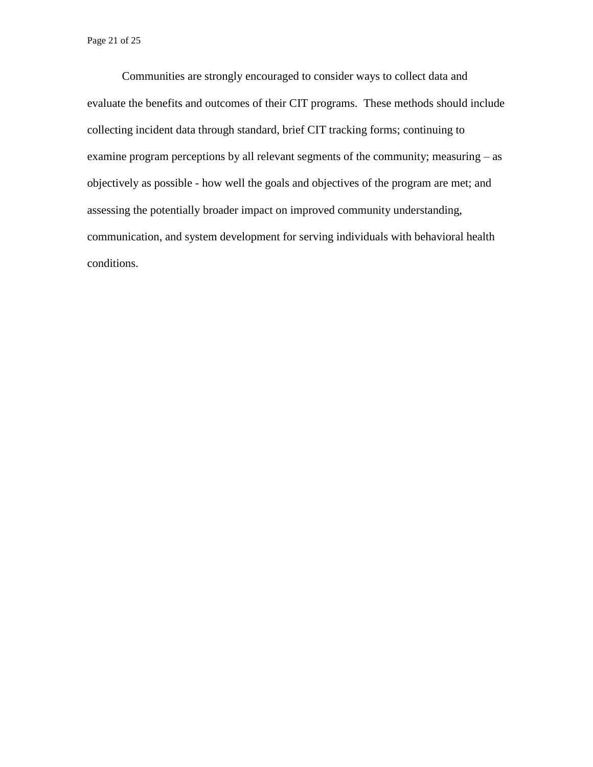Communities are strongly encouraged to consider ways to collect data and evaluate the benefits and outcomes of their CIT programs. These methods should include collecting incident data through standard, brief CIT tracking forms; continuing to examine program perceptions by all relevant segments of the community; measuring – as objectively as possible - how well the goals and objectives of the program are met; and assessing the potentially broader impact on improved community understanding, communication, and system development for serving individuals with behavioral health conditions.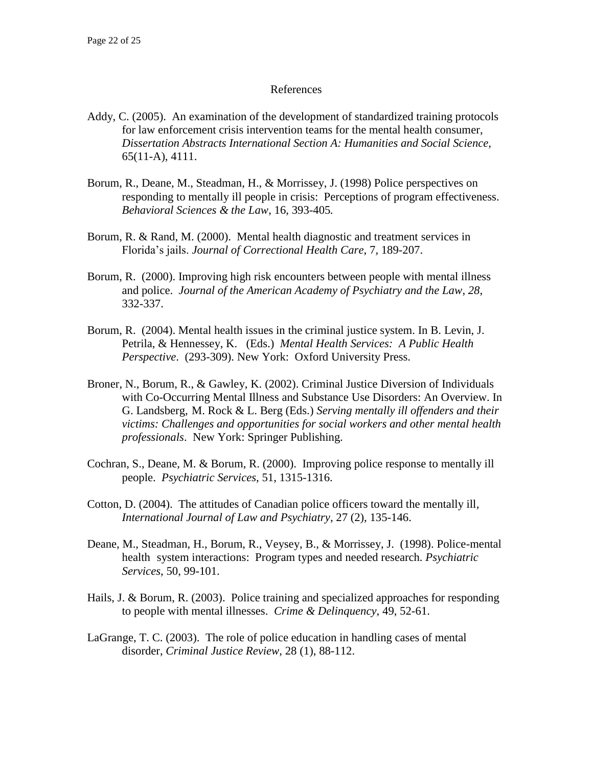## References

- Addy, C. (2005). An examination of the development of standardized training protocols for law enforcement crisis intervention teams for the mental health consumer, *Dissertation Abstracts International Section A: Humanities and Social Science,* 65(11-A), 4111.
- Borum, R., Deane, M., Steadman, H., & Morrissey, J. (1998) Police perspectives on responding to mentally ill people in crisis: Perceptions of program effectiveness. *Behavioral Sciences & the Law*, 16, 393-405*.*
- Borum, R. & Rand, M. (2000). Mental health diagnostic and treatment services in Florida's jails. *Journal of Correctional Health Care*, 7*,* 189-207.
- Borum, R. (2000). Improving high risk encounters between people with mental illness and police. *Journal of the American Academy of Psychiatry and the Law*, *28*, 332-337.
- Borum, R. (2004). Mental health issues in the criminal justice system. In B. Levin, J. Petrila, & Hennessey, K. (Eds.) *Mental Health Services: A Public Health Perspective*. (293-309). New York: Oxford University Press.
- Broner, N., Borum, R., & Gawley, K. (2002). Criminal Justice Diversion of Individuals with Co-Occurring Mental Illness and Substance Use Disorders: An Overview. In G. Landsberg, M. Rock & L. Berg (Eds.) *Serving mentally ill offenders and their victims: Challenges and opportunities for social workers and other mental health professionals*. New York: Springer Publishing.
- Cochran, S., Deane, M. & Borum, R. (2000). Improving police response to mentally ill people. *Psychiatric Services*, 51, 1315-1316.
- Cotton, D. (2004). The attitudes of Canadian police officers toward the mentally ill*, International Journal of Law and Psychiatry*, 27 (2), 135-146.
- Deane, M., Steadman, H., Borum, R., Veysey, B., & Morrissey, J. (1998). Police-mental health system interactions: Program types and needed research. *Psychiatric Services*, 50, 99-101.
- Hails, J. & Borum, R. (2003). Police training and specialized approaches for responding to people with mental illnesses. *Crime & Delinquency,* 49, 52-61.
- LaGrange, T. C. (2003). The role of police education in handling cases of mental disorder, *Criminal Justice Review*, 28 (1), 88-112.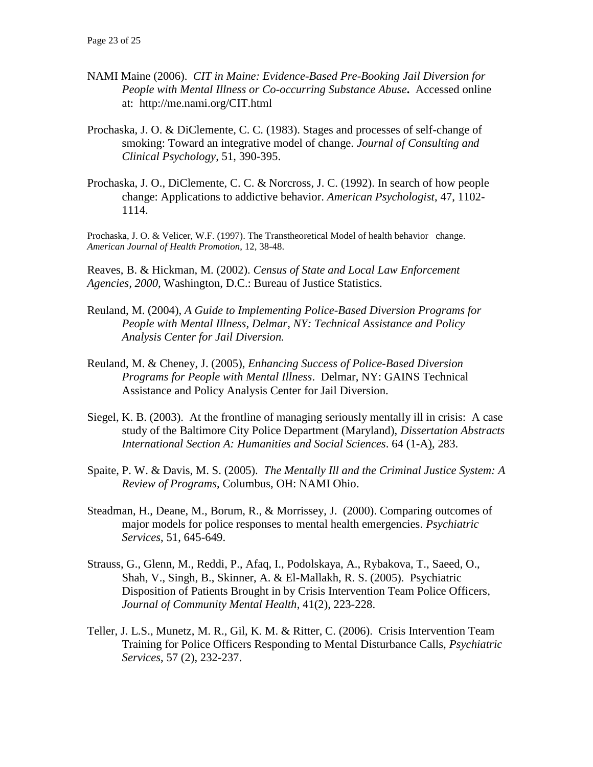- NAMI Maine (2006). *CIT in Maine: Evidence-Based Pre-Booking Jail Diversion for People with Mental Illness or Co-occurring Substance Abuse***.** Accessed online at:http://me.nami.org/CIT.html
- Prochaska, J. O. & DiClemente, C. C. (1983). Stages and processes of self-change of smoking: Toward an integrative model of change. *Journal of Consulting and Clinical Psychology*, 51, 390-395.
- Prochaska, J. O., DiClemente, C. C. & Norcross, J. C. (1992). In search of how people change: Applications to addictive behavior. *American Psychologist*, 47, 1102- 1114.

Prochaska, J. O. & Velicer, W.F. (1997). The Transtheoretical Model of health behavior change. *American Journal of Health Promotion*, 12, 38-48.

Reaves, B. & Hickman, M. (2002). *Census of State and Local Law Enforcement Agencies, 2000*, Washington, D.C.: Bureau of Justice Statistics.

- Reuland, M. (2004), *A Guide to Implementing Police-Based Diversion Programs for People with Mental Illness, Delmar, NY: Technical Assistance and Policy Analysis Center for Jail Diversion.*
- Reuland, M. & Cheney, J. (2005), *Enhancing Success of Police-Based Diversion Programs for People with Mental Illness*. Delmar, NY: GAINS Technical Assistance and Policy Analysis Center for Jail Diversion.
- Siegel, K. B. (2003). At the frontline of managing seriously mentally ill in crisis: A case study of the Baltimore City Police Department (Maryland), *Dissertation Abstracts International Section A: Humanities and Social Sciences*. 64 (1-A), 283.
- Spaite, P. W. & Davis, M. S. (2005). *The Mentally Ill and the Criminal Justice System: A Review of Programs*, Columbus, OH: NAMI Ohio.
- Steadman, H., Deane, M., Borum, R., & Morrissey, J. (2000). Comparing outcomes of major models for police responses to mental health emergencies. *Psychiatric Services*, 51, 645-649.
- Strauss, G., Glenn, M., Reddi, P., Afaq, I., Podolskaya, A., Rybakova, T., Saeed, O., Shah, V., Singh, B., Skinner, A. & El-Mallakh, R. S. (2005). Psychiatric Disposition of Patients Brought in by Crisis Intervention Team Police Officers*, Journal of Community Mental Health*, 41(2), 223-228.
- Teller, J. L.S., Munetz, M. R., Gil, K. M. & Ritter, C. (2006). Crisis Intervention Team Training for Police Officers Responding to Mental Disturbance Calls, *Psychiatric Services*, 57 (2), 232-237.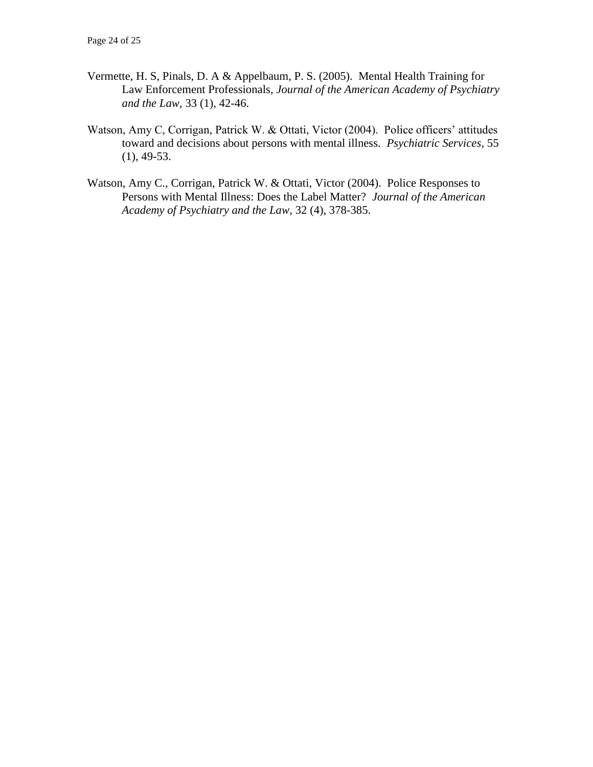- Vermette, H. S, Pinals, D. A & Appelbaum, P. S. (2005). Mental Health Training for Law Enforcement Professionals*, Journal of the American Academy of Psychiatry and the Law*, 33 (1), 42-46.
- Watson, Amy C, Corrigan, Patrick W. & Ottati, Victor (2004). Police officers' attitudes toward and decisions about persons with mental illness*. Psychiatric Services*, 55  $(1), 49-53.$
- Watson, Amy C., Corrigan, Patrick W. & Ottati, Victor (2004). Police Responses to Persons with Mental Illness: Does the Label Matter? *Journal of the American Academy of Psychiatry and the Law*, 32 (4), 378-385.